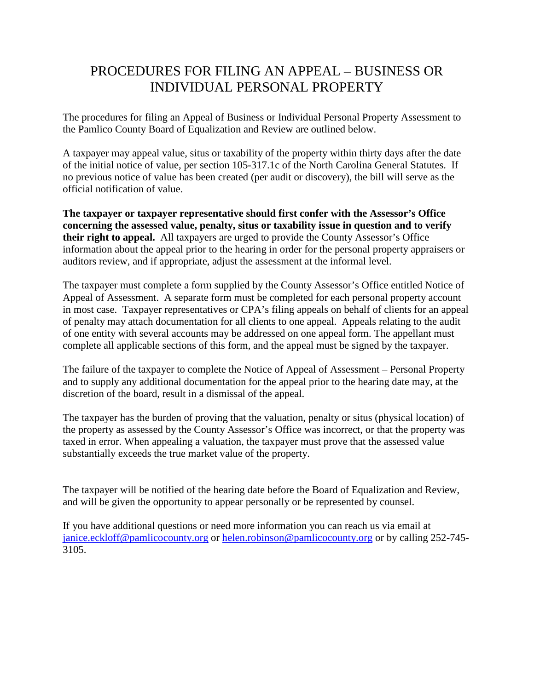## PROCEDURES FOR FILING AN APPEAL – BUSINESS OR INDIVIDUAL PERSONAL PROPERTY

The procedures for filing an Appeal of Business or Individual Personal Property Assessment to the Pamlico County Board of Equalization and Review are outlined below.

A taxpayer may appeal value, situs or taxability of the property within thirty days after the date of the initial notice of value, per section 105-317.1c of the North Carolina General Statutes. If no previous notice of value has been created (per audit or discovery), the bill will serve as the official notification of value.

**The taxpayer or taxpayer representative should first confer with the Assessor's Office concerning the assessed value, penalty, situs or taxability issue in question and to verify their right to appeal.** All taxpayers are urged to provide the County Assessor's Office information about the appeal prior to the hearing in order for the personal property appraisers or auditors review, and if appropriate, adjust the assessment at the informal level.

The taxpayer must complete a form supplied by the County Assessor's Office entitled Notice of Appeal of Assessment. A separate form must be completed for each personal property account in most case. Taxpayer representatives or CPA's filing appeals on behalf of clients for an appeal of penalty may attach documentation for all clients to one appeal. Appeals relating to the audit of one entity with several accounts may be addressed on one appeal form. The appellant must complete all applicable sections of this form, and the appeal must be signed by the taxpayer.

The failure of the taxpayer to complete the Notice of Appeal of Assessment – Personal Property and to supply any additional documentation for the appeal prior to the hearing date may, at the discretion of the board, result in a dismissal of the appeal.

The taxpayer has the burden of proving that the valuation, penalty or situs (physical location) of the property as assessed by the County Assessor's Office was incorrect, or that the property was taxed in error. When appealing a valuation, the taxpayer must prove that the assessed value substantially exceeds the true market value of the property.

The taxpayer will be notified of the hearing date before the Board of Equalization and Review, and will be given the opportunity to appear personally or be represented by counsel.

If you have additional questions or need more information you can reach us via email at [janice.eckloff@pamlicocounty.org](mailto:janice.eckloff@pamlicocounty.org) or [helen.robinson@pamlicocounty.org](mailto:helen.robinson@pamlicocounty.org) or by calling 252-745- 3105.